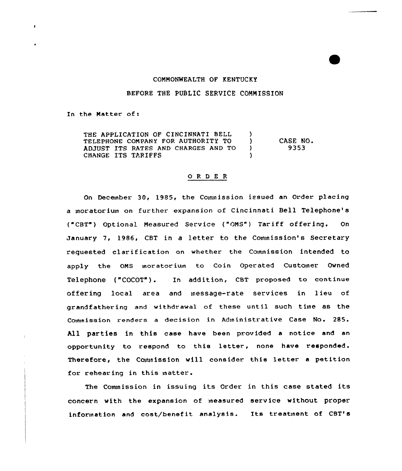#### COMMONWEALTH OF KENTUCKY

### BEFORE THE PUBLIC SERVICE COMMISSION

In the Matter of:

 $\lambda$ 

THE APPLICATION OF CINCINNATI BELL (1)<br>TELEPHONE COMPANY FOR AUTHORITY TO (1) TELEPHONE COMPANY FOR AUTHORITY TO (1) ADJUST ITS RATES AND CHARGES AND TO )<br>CHANGE ITS TARIFFS CHANGE ITS TARIFFS CASE NO. 9353

#### ORDER

On December 30, 1985, the Commission issued an Order placing a moratorium on further expansion of Cincinnati Bell Telephone's ("CBT") Optional Measured Service ("OMS") Tariff offering. On January 7, 1986, CBT in a letter to the Commission's Secretary requested clarification on whether the Commission intended to apply the OMS moratorinn to Coin Operated Customer Owned Telephone ("COCOT"). In addition, CBT proposed to continue offering local area and message-rate services in lieu of grandfathering and withdrawal of these until such time as the Commission renders a decision in Administrative Case No. 285. All parties in this case have been provided a notice and an opportunity to respond to this letter, none have responded. Therefore, the Commission will consider this letter a petition for rehearing in this matter.

The Comnission in issuing its Order in this case stated its concern with the expansion of measured service without proper information and cost/benefit analysis. Its treatment of CBT's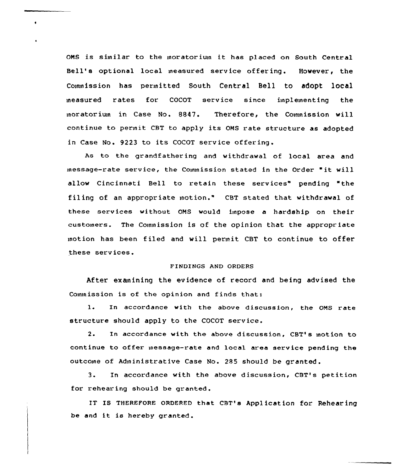OMS is similar to the moratorium it has placed on South Central Bell's optional local measured service offering. However, the Commission has permitted South Central Bell to adopt local measured rates for COCOT service since implementing the moratorium in Case No. 8847. Therefore, the Commission will continue to permit CBT to apply its OMS rate structure as adopte in Case No. 9223 to its COCOT service .

 $\bullet$ 

As to the grandfathering and withdrawal of local area and message-rate service, the Cownission stated in the Order "it will allow Cincinnati Bell to retain these services" pending "the filing of an appropriate motion." CBT stated that withdrawal of these services without OMS would impose a hardship on their customers. The Commission is of the opinion that the appropriate motion has been filed and will permit CBT to continue to offer these services.

## FINDINGS AND ORDERS

After exanining the evidence of record and being advised the Commission is of the opinion and finds that:

l. In accordance with the above discussion, the OMS rate structure should apply to the COCOT service.

2. In accordance with the above discussion, CBT's motion to continue to offer message-rate and local area service pending the outcome of Administrative Case No. 285 should be granted.

3. In accordance with the above discussion< CBT's petition for rehearing should be granted.

IT Is THEREFoRE oRDERED that cBT's Application for Rehearing be and it is hereby granted.